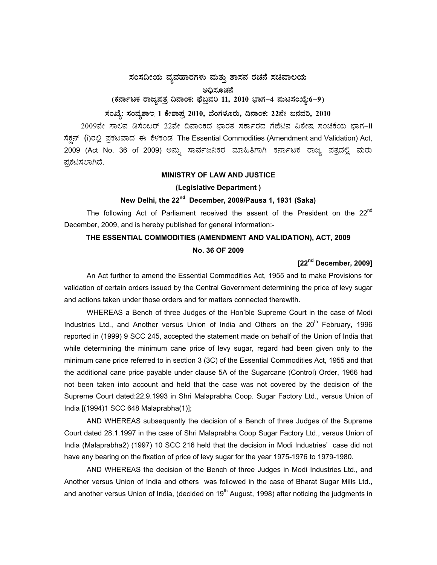### $\pi$ ನಂಸದೀಯ ವ್ಯವಹಾರಗಳು ಮತ್ತು ಶಾಸನ ರಚನೆ ಸಚಿವಾಲಯ

#### ಅಧಿಸೂಚನೆ

# (ಕರ್ನಾಟಕ ರಾಜ್ಯಪತ್ರ ದಿನಾಂಕ: ಫೆಬ್ರವರಿ 11, 2010 ಭಾಗ–4 **ಮಟಸಂಖ್ಯೆ:6–9**)

# **¸ÀASÉå: ¸ÀAªÀå±ÁE 1 PÉñÁ¥Àæ 2010, ¨ÉAUÀ¼ÀÆgÀÄ, ¢£ÁAPÀ: 22£Éà d£ÀªÀj, 2010**

2009ನೇ ಸಾಲಿನ ಡಿಸೆಂಬರ್ 22ನೇ ದಿನಾಂಕದ ಭಾರತ ಸರ್ಕಾರದ ಗೆಜೆಟಿನ ವಿಶೇಷ ಸಂಚಿಕೆಯ ಭಾಗ-II ಸೆಕ್ಷನ್ (i)ರಲ್ಲಿ ಪ್ರಕಟವಾದ ಈ ಕೆಳಕಂಡ The Essential Commodities (Amendment and Validation) Act, 2009 (Act No. 36 of 2009) ಅನ್ನು ಸಾರ್ವಜನಿಕರ ಮಾಹಿತಿಗಾಗಿ ಕರ್ನಾಟಕ ರಾಜ್ಯ ಪತ್ರದಲ್ಲಿ ಮರು ಪ್ರಕಟಿಸಲಾಗಿದೆ.

### **MINISTRY OF LAW AND JUSTICE**

#### **(Legislative Department )**

# **New Delhi, the 22nd December, 2009/Pausa 1, 1931 (Saka)**

The following Act of Parliament received the assent of the President on the  $22^{nd}$ December, 2009, and is hereby published for general information:-

### **THE ESSENTIAL COMMODITIES (AMENDMENT AND VALIDATION), ACT, 2009**

### **No. 36 OF 2009**

## **[22nd December, 2009]**

 An Act further to amend the Essential Commodities Act, 1955 and to make Provisions for validation of certain orders issued by the Central Government determining the price of levy sugar and actions taken under those orders and for matters connected therewith.

 WHEREAS a Bench of three Judges of the Hon'ble Supreme Court in the case of Modi Industries Ltd., and Another versus Union of India and Others on the 20<sup>th</sup> February, 1996 reported in (1999) 9 SCC 245, accepted the statement made on behalf of the Union of India that while determining the minimum cane price of levy sugar, regard had been given only to the minimum cane price referred to in section 3 (3C) of the Essential Commodities Act, 1955 and that the additional cane price payable under clause 5A of the Sugarcane (Control) Order, 1966 had not been taken into account and held that the case was not covered by the decision of the Supreme Court dated:22.9.1993 in Shri Malaprabha Coop. Sugar Factory Ltd., versus Union of India [(1994)1 SCC 648 Malaprabha(1)];

 AND WHEREAS subsequently the decision of a Bench of three Judges of the Supreme Court dated 28.1.1997 in the case of Shri Malaprabha Coop Sugar Factory Ltd., versus Union of India (Malaprabha2) (1997) 10 SCC 216 held that the decision in Modi Industries' case did not have any bearing on the fixation of price of levy sugar for the year 1975-1976 to 1979-1980.

 AND WHEREAS the decision of the Bench of three Judges in Modi Industries Ltd., and Another versus Union of India and others was followed in the case of Bharat Sugar Mills Ltd., and another versus Union of India, (decided on  $19<sup>th</sup>$  August, 1998) after noticing the judgments in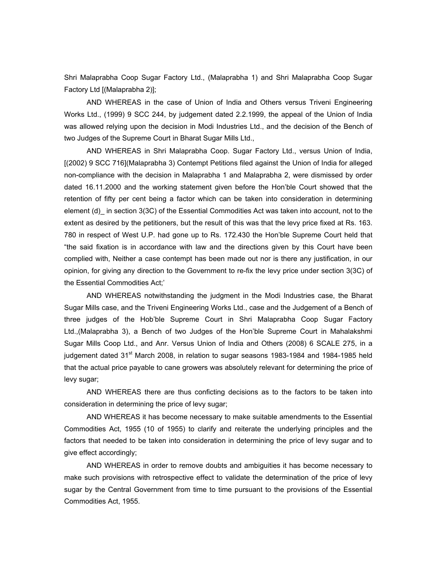Shri Malaprabha Coop Sugar Factory Ltd., (Malaprabha 1) and Shri Malaprabha Coop Sugar Factory Ltd [(Malaprabha 2)];

 AND WHEREAS in the case of Union of India and Others versus Triveni Engineering Works Ltd., (1999) 9 SCC 244, by judgement dated 2.2.1999, the appeal of the Union of India was allowed relying upon the decision in Modi Industries Ltd., and the decision of the Bench of two Judges of the Supreme Court in Bharat Sugar Mills Ltd.,

 AND WHEREAS in Shri Malaprabha Coop. Sugar Factory Ltd., versus Union of India, [(2002) 9 SCC 716](Malaprabha 3) Contempt Petitions filed against the Union of India for alleged non-compliance with the decision in Malaprabha 1 and Malaprabha 2, were dismissed by order dated 16.11.2000 and the working statement given before the Hon'ble Court showed that the retention of fifty per cent being a factor which can be taken into consideration in determining element (d)\_ in section 3(3C) of the Essential Commodities Act was taken into account, not to the extent as desired by the petitioners, but the result of this was that the levy price fixed at Rs. 163. 780 in respect of West U.P. had gone up to Rs. 172.430 the Hon'ble Supreme Court held that "the said fixation is in accordance with law and the directions given by this Court have been complied with, Neither a case contempt has been made out nor is there any justification, in our opinion, for giving any direction to the Government to re-fix the levy price under section 3(3C) of the Essential Commodities Act;'

 AND WHEREAS notwithstanding the judgment in the Modi Industries case, the Bharat Sugar Mills case, and the Triveni Engineering Works Ltd., case and the Judgement of a Bench of three judges of the Hob'ble Supreme Court in Shri Malaprabha Coop Sugar Factory Ltd.,(Malaprabha 3), a Bench of two Judges of the Hon'ble Supreme Court in Mahalakshmi Sugar Mills Coop Ltd., and Anr. Versus Union of India and Others (2008) 6 SCALE 275, in a judgement dated  $31<sup>st</sup>$  March 2008, in relation to sugar seasons 1983-1984 and 1984-1985 held that the actual price payable to cane growers was absolutely relevant for determining the price of levy sugar;

 AND WHEREAS there are thus conficting decisions as to the factors to be taken into consideration in determining the price of levy sugar;

 AND WHEREAS it has become necessary to make suitable amendments to the Essential Commodities Act, 1955 (10 of 1955) to clarify and reiterate the underlying principles and the factors that needed to be taken into consideration in determining the price of levy sugar and to give effect accordingly;

 AND WHEREAS in order to remove doubts and ambiguities it has become necessary to make such provisions with retrospective effect to validate the determination of the price of levy sugar by the Central Government from time to time pursuant to the provisions of the Essential Commodities Act, 1955.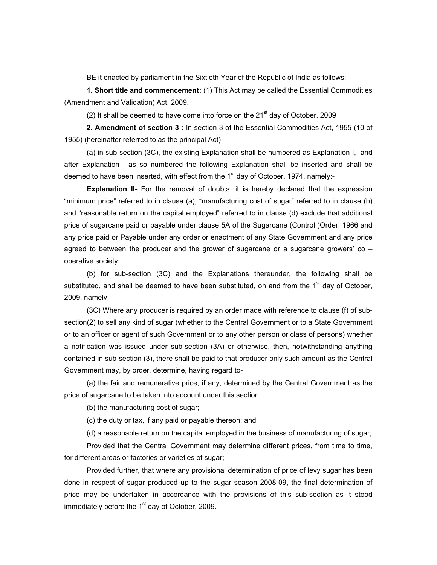BE it enacted by parliament in the Sixtieth Year of the Republic of India as follows:-

**1. Short title and commencement:** (1) This Act may be called the Essential Commodities (Amendment and Validation) Act, 2009.

(2) It shall be deemed to have come into force on the  $21<sup>st</sup>$  day of October, 2009

**2. Amendment of section 3 :** In section 3 of the Essential Commodities Act, 1955 (10 of 1955) (hereinafter referred to as the principal Act)-

 (a) in sub-section (3C), the existing Explanation shall be numbered as Explanation I, and after Explanation I as so numbered the following Explanation shall be inserted and shall be deemed to have been inserted, with effect from the  $1<sup>st</sup>$  day of October, 1974, namely:-

**Explanation II-** For the removal of doubts, it is hereby declared that the expression "minimum price" referred to in clause (a), "manufacturing cost of sugar" referred to in clause (b) and "reasonable return on the capital employed" referred to in clause (d) exclude that additional price of sugarcane paid or payable under clause 5A of the Sugarcane (Control )Order, 1966 and any price paid or Payable under any order or enactment of any State Government and any price agreed to between the producer and the grower of sugarcane or a sugarcane growers'  $\infty$  – operative society;

 (b) for sub-section (3C) and the Explanations thereunder, the following shall be substituted, and shall be deemed to have been substituted, on and from the 1<sup>st</sup> day of October, 2009, namely:-

 (3C) Where any producer is required by an order made with reference to clause (f) of subsection(2) to sell any kind of sugar (whether to the Central Government or to a State Government or to an officer or agent of such Government or to any other person or class of persons) whether a notification was issued under sub-section (3A) or otherwise, then, notwithstanding anything contained in sub-section (3), there shall be paid to that producer only such amount as the Central Government may, by order, determine, having regard to-

 (a) the fair and remunerative price, if any, determined by the Central Government as the price of sugarcane to be taken into account under this section;

(b) the manufacturing cost of sugar;

(c) the duty or tax, if any paid or payable thereon; and

(d) a reasonable return on the capital employed in the business of manufacturing of sugar;

 Provided that the Central Government may determine different prices, from time to time, for different areas or factories or varieties of sugar;

 Provided further, that where any provisional determination of price of levy sugar has been done in respect of sugar produced up to the sugar season 2008-09, the final determination of price may be undertaken in accordance with the provisions of this sub-section as it stood immediately before the  $1<sup>st</sup>$  day of October, 2009.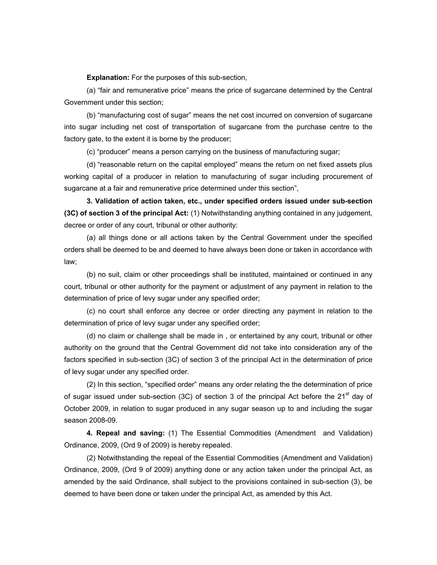**Explanation:** For the purposes of this sub-section,

 (a) "fair and remunerative price" means the price of sugarcane determined by the Central Government under this section;

 (b) "manufacturing cost of sugar" means the net cost incurred on conversion of sugarcane into sugar including net cost of transportation of sugarcane from the purchase centre to the factory gate, to the extent it is borne by the producer;

(c) "producer" means a person carrying on the business of manufacturing sugar;

 (d) "reasonable return on the capital employed" means the return on net fixed assets plus working capital of a producer in relation to manufacturing of sugar including procurement of sugarcane at a fair and remunerative price determined under this section",

**3. Validation of action taken, etc., under specified orders issued under sub-section (3C) of section 3 of the principal Act:** (1) Notwithstanding anything contained in any judgement, decree or order of any court, tribunal or other authority:

 (a) all things done or all actions taken by the Central Government under the specified orders shall be deemed to be and deemed to have always been done or taken in accordance with law;

 (b) no suit, claim or other proceedings shall be instituted, maintained or continued in any court, tribunal or other authority for the payment or adjustment of any payment in relation to the determination of price of levy sugar under any specified order;

 (c) no court shall enforce any decree or order directing any payment in relation to the determination of price of levy sugar under any specified order;

 (d) no claim or challenge shall be made in , or entertained by any court, tribunal or other authority on the ground that the Central Government did not take into consideration any of the factors specified in sub-section (3C) of section 3 of the principal Act in the determination of price of levy sugar under any specified order.

 (2) In this section, "specified order" means any order relating the the determination of price of sugar issued under sub-section (3C) of section 3 of the principal Act before the  $21<sup>st</sup>$  day of October 2009, in relation to sugar produced in any sugar season up to and including the sugar season 2008-09.

**4. Repeal and saving:** (1) The Essential Commodities (Amendment and Validation) Ordinance, 2009, (Ord 9 of 2009) is hereby repealed.

 (2) Notwithstanding the repeal of the Essential Commodities (Amendment and Validation) Ordinance, 2009, (Ord 9 of 2009) anything done or any action taken under the principal Act, as amended by the said Ordinance, shall subject to the provisions contained in sub-section (3), be deemed to have been done or taken under the principal Act, as amended by this Act.